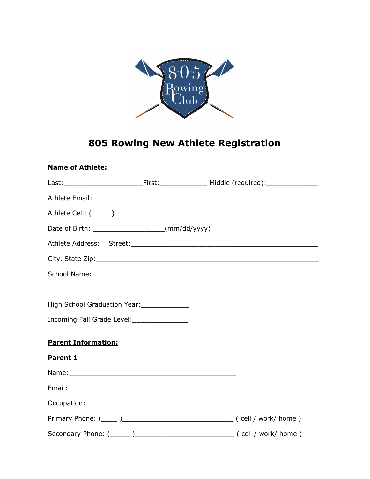

# 805 Rowing New Athlete Registration

| <b>Name of Athlete:</b>                           |  |
|---------------------------------------------------|--|
|                                                   |  |
|                                                   |  |
|                                                   |  |
| Date of Birth: ______________________(mm/dd/yyyy) |  |
|                                                   |  |
|                                                   |  |
|                                                   |  |
|                                                   |  |
| High School Graduation Year: _____________        |  |
| Incoming Fall Grade Level: ________________       |  |
| <b>Parent Information:</b>                        |  |
| Parent 1                                          |  |
|                                                   |  |
|                                                   |  |
|                                                   |  |
|                                                   |  |
|                                                   |  |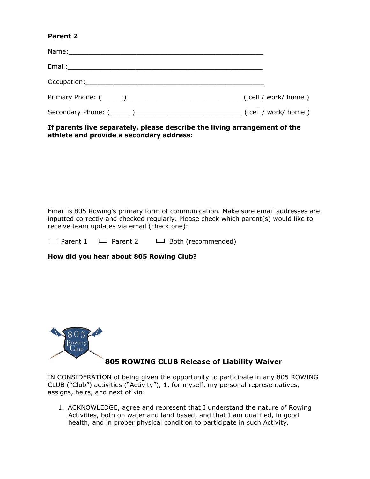### Parent 2

If parents live separately, please describe the living arrangement of the athlete and provide a secondary address:

Email is 805 Rowing's primary form of communication. Make sure email addresses are inputted correctly and checked regularly. Please check which parent(s) would like to receive team updates via email (check one):

 $\Box$  Parent 1  $\Box$  Parent 2  $\Box$  Both (recommended)

How did you hear about 805 Rowing Club?



## 805 ROWING CLUB Release of Liability Waiver

IN CONSIDERATION of being given the opportunity to participate in any 805 ROWING CLUB ("Club") activities ("Activity"), 1, for myself, my personal representatives, assigns, heirs, and next of kin:

1. ACKNOWLEDGE, agree and represent that I understand the nature of Rowing Activities, both on water and land based, and that I am qualified, in good health, and in proper physical condition to participate in such Activity.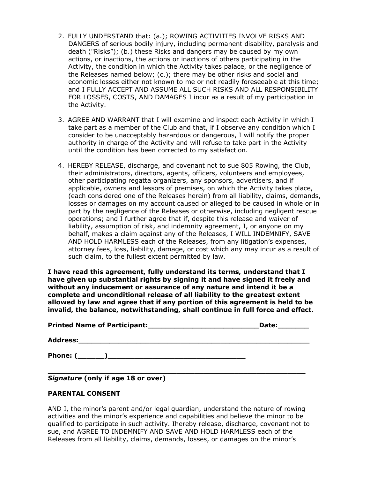- 2. FULLY UNDERSTAND that: (a.); ROWING ACTIVITIES INVOLVE RISKS AND DANGERS of serious bodily injury, including permanent disability, paralysis and death ("Risks"); (b.) these Risks and dangers may be caused by my own actions, or inactions, the actions or inactions of others participating in the Activity, the condition in which the Activity takes palace, or the negligence of the Releases named below; (c.); there may be other risks and social and economic losses either not known to me or not readily foreseeable at this time; and I FULLY ACCEPT AND ASSUME ALL SUCH RISKS AND ALL RESPONSIBILITY FOR LOSSES, COSTS, AND DAMAGES I incur as a result of my participation in the Activity.
- 3. AGREE AND WARRANT that I will examine and inspect each Activity in which I take part as a member of the Club and that, if I observe any condition which I consider to be unacceptably hazardous or dangerous, I will notify the proper authority in charge of the Activity and will refuse to take part in the Activity until the condition has been corrected to my satisfaction.
- 4. HEREBY RELEASE, discharge, and covenant not to sue 805 Rowing, the Club, their administrators, directors, agents, officers, volunteers and employees, other participating regatta organizers, any sponsors, advertisers, and if applicable, owners and lessors of premises, on which the Activity takes place, (each considered one of the Releases herein) from all liability, claims, demands, losses or damages on my account caused or alleged to be caused in whole or in part by the negligence of the Releases or otherwise, including negligent rescue operations; and I further agree that if, despite this release and waiver of liability, assumption of risk, and indemnity agreement, I, or anyone on my behalf, makes a claim against any of the Releases, I WILL INDEMNIFY, SAVE AND HOLD HARMLESS each of the Releases, from any litigation's expenses, attorney fees, loss, liability, damage, or cost which any may incur as a result of such claim, to the fullest extent permitted by law.

I have read this agreement, fully understand its terms, understand that I have given up substantial rights by signing it and have signed it freely and without any inducement or assurance of any nature and intend it be a complete and unconditional release of all liability to the greatest extent allowed by law and agree that if any portion of this agreement is held to be invalid, the balance, notwithstanding, shall continue in full force and effect.

| Date: |
|-------|
|       |
|       |

\_\_\_\_\_\_\_\_\_\_\_\_\_\_\_\_\_\_\_\_\_\_\_\_\_\_\_\_\_\_\_\_\_\_\_\_\_\_\_\_\_\_\_\_\_\_\_\_\_\_\_\_\_\_\_\_\_\_

Signature (only if age 18 or over)

### PARENTAL CONSENT

AND I, the minor's parent and/or legal guardian, understand the nature of rowing activities and the minor's experience and capabilities and believe the minor to be qualified to participate in such activity. Ihereby release, discharge, covenant not to sue, and AGREE TO INDEMNIFY AND SAVE AND HOLD HARMLESS each of the Releases from all liability, claims, demands, losses, or damages on the minor's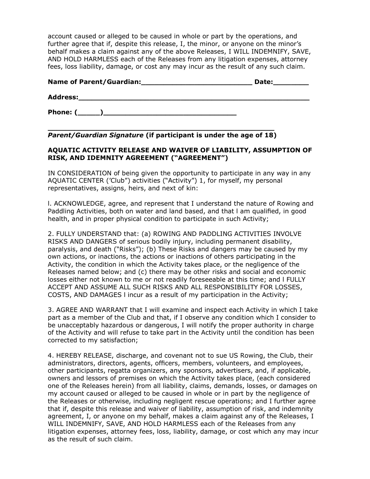account caused or alleged to be caused in whole or part by the operations, and further agree that if, despite this release, I, the minor, or anyone on the minor's behalf makes a claim against any of the above Releases, I WILL INDEMNIFY, SAVE, AND HOLD HARMLESS each of the Releases from any litigation expenses, attorney fees, loss liability, damage, or cost any may incur as the result of any such claim.

| <b>Name of Parent/Guardian:</b> | Date: |
|---------------------------------|-------|
| <b>Address:</b>                 |       |
| Phone: (                        |       |

\_\_\_\_\_\_\_\_\_\_\_\_\_\_\_\_\_\_\_\_\_\_\_\_\_\_\_\_\_\_\_\_\_\_\_\_\_\_\_\_\_\_\_\_\_\_\_\_\_\_\_ Parent/Guardian Signature (if participant is under the age of 18)

### AQUATIC ACTIVITY RELEASE AND WAIVER OF LIABILITY, ASSUMPTION OF RISK, AND IDEMNITY AGREEMENT ("AGREEMENT")

IN CONSIDERATION of being given the opportunity to participate in any way in any AQUATIC CENTER ('Club") activities ("Activity") 1, for myself, my personal representatives, assigns, heirs, and next of kin:

l. ACKNOWLEDGE, agree, and represent that I understand the nature of Rowing and Paddling Activities, both on water and land based, and that l am qualified, in good health, and in proper physical condition to participate in such Activity;

2. FULLY UNDERSTAND that: (a) ROWING AND PADDLING ACTIVITIES INVOLVE RISKS AND DANGERS of serious bodily injury, including permanent disability, paralysis, and death ("Risks"); (b) These Risks and dangers may be caused by my own actions, or inactions, the actions or inactions of others participating in the Activity, the condition in which the Activity takes place, or the negligence of the Releases named below; and (c) there may be other risks and social and economic losses either not known to me or not readily foreseeable at this time; and l FULLY ACCEPT AND ASSUME ALL SUCH RISKS AND ALL RESPONSIBILITY FOR LOSSES, COSTS, AND DAMAGES l incur as a result of my participation in the Activity;

3. AGREE AND WARRANT that I will examine and inspect each Activity in which I take part as a member of the Club and that, if I observe any condition which I consider to be unacceptably hazardous or dangerous, I will notify the proper authority in charge of the Activity and will refuse to take part in the Activity until the condition has been corrected to my satisfaction;

4. HEREBY RELEASE, discharge, and covenant not to sue US Rowing, the Club, their administrators, directors, agents, officers, members, volunteers, and employees, other participants, regatta organizers, any sponsors, advertisers, and, if applicable, owners and lessors of premises on which the Activity takes place, (each considered one of the Releases herein) from all liability, claims, demands, losses, or damages on my account caused or alleged to be caused in whole or in part by the negligence of the Releases or otherwise, including negligent rescue operations; and I further agree that if, despite this release and waiver of liability, assumption of risk, and indemnity agreement, I, or anyone on my behalf, makes a claim against any of the Releases, I WILL INDEMNIFY, SAVE, AND HOLD HARMLESS each of the Releases from any litigation expenses, attorney fees, loss, liability, damage, or cost which any may incur as the result of such claim.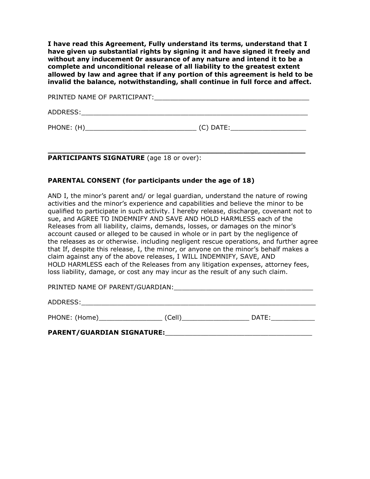I have read this Agreement, Fully understand its terms, understand that I have given up substantial rights by signing it and have signed it freely and without any inducement 0r assurance of any nature and intend it to be a complete and unconditional release of all liability to the greatest extent allowed by law and agree that if any portion of this agreement is held to be invalid the balance, notwithstanding, shall continue in full force and affect.

PRINTED NAME OF PARTICIPANT:

ADDRESS:\_\_\_\_\_\_\_\_\_\_\_\_\_\_\_\_\_\_\_\_\_\_\_\_\_\_\_\_\_\_\_\_\_\_\_\_\_\_\_\_\_\_\_\_\_\_\_\_\_\_\_\_\_\_\_\_\_

PHONE: (H)\_\_\_\_\_\_\_\_\_\_\_\_\_\_\_\_\_\_\_\_\_\_\_\_\_\_\_\_ (C) DATE:\_\_\_\_\_\_\_\_\_\_\_\_\_\_\_\_\_\_\_

\_\_\_\_\_\_\_\_\_\_\_\_\_\_\_\_\_\_\_\_\_\_\_\_\_\_\_\_\_\_\_\_\_\_\_\_\_\_\_\_\_\_\_\_\_\_\_\_\_\_\_\_\_\_\_\_\_\_ PARTICIPANTS SIGNATURE (age 18 or over):

#### PARENTAL CONSENT (for participants under the age of 18)

AND I, the minor's parent and/ or legal guardian, understand the nature of rowing activities and the minor's experience and capabilities and believe the minor to be qualified to participate in such activity. I hereby release, discharge, covenant not to sue, and AGREE TO INDEMNIFY AND SAVE AND HOLD HARMLESS each of the Releases from all liability, claims, demands, losses, or damages on the minor's account caused or alleged to be caused in whole or in part by the negligence of the releases as or otherwise. including negligent rescue operations, and further agree that If, despite this release, I, the minor, or anyone on the minor's behalf makes a claim against any of the above releases, I WILL INDEMNIFY, SAVE, AND HOLD HARMLESS each of the Releases from any litigation expenses, attorney fees, loss liability, damage, or cost any may incur as the result of any such claim.

PRINTED NAME OF PARENT/GUARDIAN:

ADDRESS:\_\_\_\_\_\_\_\_\_\_\_\_\_\_\_\_\_\_\_\_\_\_\_\_\_\_\_\_\_\_\_\_\_\_\_\_\_\_\_\_\_\_\_\_\_\_\_\_\_\_\_\_\_\_\_\_\_\_\_

PHONE: (Home)\_\_\_\_\_\_\_\_\_\_\_\_\_\_\_\_ (Cell)\_\_\_\_\_\_\_\_\_\_\_\_\_\_\_\_\_ DATE:\_\_\_\_\_\_\_\_\_\_\_

PARENT/GUARDIAN SIGNATURE: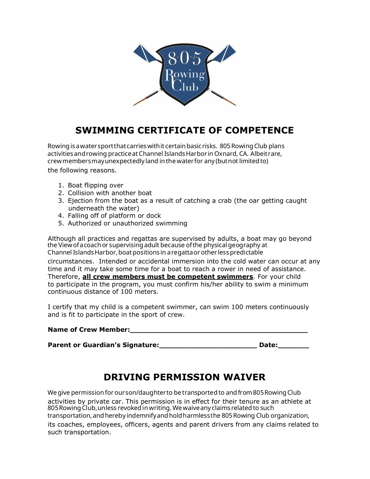

# SWIMMING CERTIFICATE OF COMPETENCE

the following reasons. Rowing is a water sport that carries with it certain basic risks. 805 Rowing Club plans activities and rowing practice at Channel Islands Harbor in Oxnard, CA. Albeit rare, crew members may unexpectedly land in the water for any (but not limited to)

- 1. Boat flipping over
- 2. Collision with another boat
- 3. Ejection from the boat as a result of catching a crab (the oar getting caught underneath the water)
- 4. Falling off of platform or dock
- 5. Authorized or unauthorized swimming

Although all practices and regattas are supervised by adults, a boat may go beyond the Viewofacoachor supervising adult because ofthe physical geography at Channel Islands Harbor, boat positions in a regatta or other less predictable

circumstances. Intended or accidental immersion into the cold water can occur at any time and it may take some time for a boat to reach a rower in need of assistance. Therefore, all crew members must be competent swimmers. For your child to participate in the program, you must confirm his/her ability to swim a minimum continuous distance of 100 meters.

I certify that my child is a competent swimmer, can swim 100 meters continuously and is fit to participate in the sport of crew.

#### Name of Crew Member:

Parent or Guardian's Signature: \_\_\_\_\_\_\_\_\_\_\_\_\_\_\_\_\_\_\_\_\_\_\_\_\_\_\_\_\_\_ Date: \_\_\_\_\_\_\_\_\_\_\_

# DRIVING PERMISSION WAIVER

activities by private car. This permission is in effect for their tenure as an athlete at We give permission for our son/daughter to be transported to and from 805 Rowing Club transportation, and hereby indemnify and hold harmless the 805 Rowing Club organization, 805 Rowing Club, unless revoked in writing. We waive any claims related to such

its coaches, employees, officers, agents and parent drivers from any claims related to such transportation.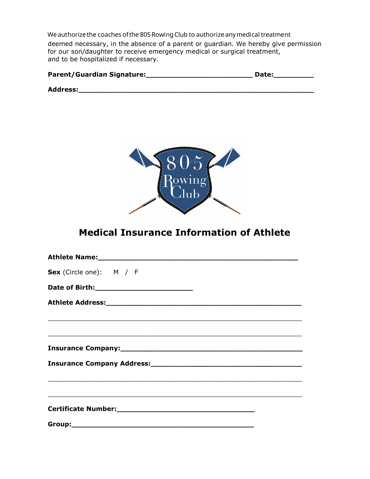deemed necessary, in the absence of a parent or guardian. We hereby give permission for our son/daughter to receive emergency medical or surgical treatment, and to be hospitalized if necessary. We authorize the coaches of the 805 Rowing Club to authorize any medical treatment

| <b>Parent/Guardian Signature:</b> | Date: |
|-----------------------------------|-------|
| <b>Address:</b>                   |       |



# Medical Insurance Information of Athlete

| Sex (Circle one): M / F                                                                                                |
|------------------------------------------------------------------------------------------------------------------------|
|                                                                                                                        |
|                                                                                                                        |
|                                                                                                                        |
| <u> 2000 - Jan Barbara de San Barbara de San Barbara de San Barbara de San Barbara de San Barbara de San Barbara d</u> |
|                                                                                                                        |
|                                                                                                                        |
|                                                                                                                        |
| ,我们也不能在这里的时候,我们也不能在这里的时候,我们也不能会在这里的时候,我们也不能会在这里的时候,我们也不能会在这里的时候,我们也不能会在这里的时候,我们也不                                      |
| Certificate Number:<br><u>Certificate Number:</u>                                                                      |
|                                                                                                                        |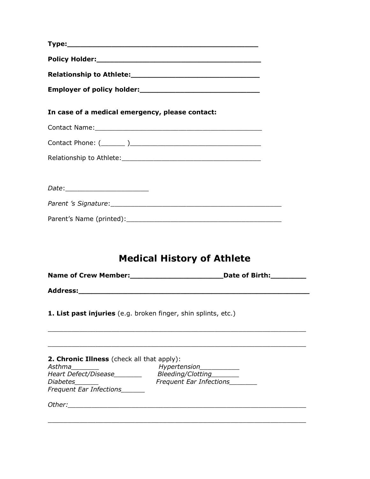| In case of a medical emergency, please contact:                                                                                                                                                 |                                                                                                                                                                                                                                |
|-------------------------------------------------------------------------------------------------------------------------------------------------------------------------------------------------|--------------------------------------------------------------------------------------------------------------------------------------------------------------------------------------------------------------------------------|
|                                                                                                                                                                                                 | Contact Name: 1988 Contact Name: 1988 Contact Name: 1988 Contact Name: 1988 Contact Name: 1988 Contact Name: 1988 Contact Name: 1988 Contact Name: 1988 Contact Name: 1988 Contact Name: 1988 Contact Name: 1988 Contact Name: |
|                                                                                                                                                                                                 |                                                                                                                                                                                                                                |
|                                                                                                                                                                                                 |                                                                                                                                                                                                                                |
| Date:____________________________                                                                                                                                                               |                                                                                                                                                                                                                                |
|                                                                                                                                                                                                 |                                                                                                                                                                                                                                |
|                                                                                                                                                                                                 |                                                                                                                                                                                                                                |
|                                                                                                                                                                                                 |                                                                                                                                                                                                                                |
|                                                                                                                                                                                                 | <b>Medical History of Athlete</b>                                                                                                                                                                                              |
|                                                                                                                                                                                                 |                                                                                                                                                                                                                                |
|                                                                                                                                                                                                 | 1. List past injuries (e.g. broken finger, shin splints, etc.)                                                                                                                                                                 |
| 2. Chronic Illness (check all that apply):<br>Asthma<br>Heart Defect/Disease________ Bleeding/Clotting_______<br><b>Diabetes</b><br><u> 1999 - Johann Barnett, f</u><br>Frequent Ear Infections | Hypertension___________<br><b>Frequent Ear Infections</b>                                                                                                                                                                      |
| Other: will be a series of the series of the series of the series of the series of the series of the series of                                                                                  |                                                                                                                                                                                                                                |
|                                                                                                                                                                                                 |                                                                                                                                                                                                                                |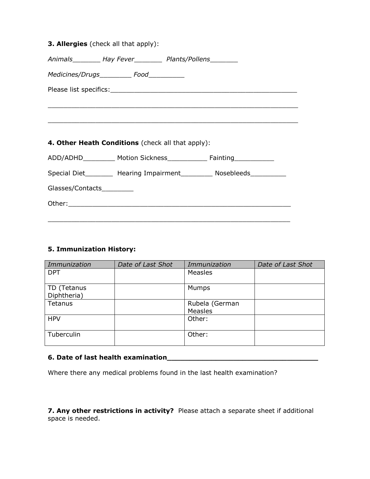|                            | 3. Allergies (check all that apply):              |                                                                                  |
|----------------------------|---------------------------------------------------|----------------------------------------------------------------------------------|
|                            |                                                   | Animals___________ Hay Fever____________ Plants/Pollens_________                 |
|                            | Medicines/Drugs_____________ Food____________     |                                                                                  |
|                            |                                                   |                                                                                  |
|                            |                                                   |                                                                                  |
|                            |                                                   |                                                                                  |
|                            |                                                   |                                                                                  |
|                            | 4. Other Heath Conditions (check all that apply): |                                                                                  |
|                            |                                                   | ADD/ADHD_____________ Motion Sickness___________________ Fainting_______________ |
|                            |                                                   | Special Diet__________ Hearing Impairment___________ Nosebleeds___________       |
| Glasses/Contacts__________ |                                                   |                                                                                  |
|                            |                                                   |                                                                                  |
|                            |                                                   |                                                                                  |

### 5. Immunization History:

| Immunization | Date of Last Shot | Immunization   | Date of Last Shot |
|--------------|-------------------|----------------|-------------------|
| <b>DPT</b>   |                   | <b>Measles</b> |                   |
| TD (Tetanus  |                   | Mumps          |                   |
| Diphtheria)  |                   |                |                   |
| Tetanus      |                   | Rubela (German |                   |
|              |                   | <b>Measles</b> |                   |
| <b>HPV</b>   |                   | Other:         |                   |
| Tuberculin   |                   | Other:         |                   |

### 6. Date of last health examination\_\_\_\_\_\_\_\_\_\_\_\_\_\_\_\_\_\_\_\_\_\_\_\_\_\_\_\_\_\_\_\_\_\_

Where there any medical problems found in the last health examination?

7. Any other restrictions in activity? Please attach a separate sheet if additional space is needed.